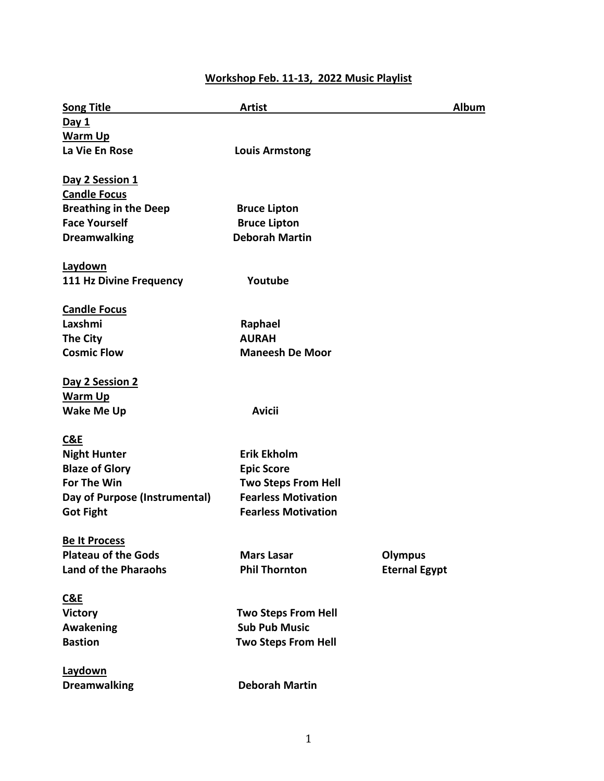# **Workshop Feb. 11-13, 2022 Music Playlist**

| <b>Song Title</b>                      | <b>Artist</b>              | Album                |
|----------------------------------------|----------------------------|----------------------|
| Day 1                                  |                            |                      |
| Warm Up                                |                            |                      |
| La Vie En Rose                         | <b>Louis Armstong</b>      |                      |
|                                        |                            |                      |
| Day 2 Session 1<br><b>Candle Focus</b> |                            |                      |
| <b>Breathing in the Deep</b>           | <b>Bruce Lipton</b>        |                      |
| <b>Face Yourself</b>                   | <b>Bruce Lipton</b>        |                      |
| <b>Dreamwalking</b>                    | <b>Deborah Martin</b>      |                      |
|                                        |                            |                      |
| Laydown                                |                            |                      |
| 111 Hz Divine Frequency                | Youtube                    |                      |
| <b>Candle Focus</b>                    |                            |                      |
| Laxshmi                                | Raphael                    |                      |
| The City                               | <b>AURAH</b>               |                      |
| <b>Cosmic Flow</b>                     | <b>Maneesh De Moor</b>     |                      |
|                                        |                            |                      |
| Day 2 Session 2                        |                            |                      |
| <b>Warm Up</b>                         |                            |                      |
| <b>Wake Me Up</b>                      | <b>Avicii</b>              |                      |
| C&E                                    |                            |                      |
| <b>Night Hunter</b>                    | <b>Erik Ekholm</b>         |                      |
| <b>Blaze of Glory</b>                  | <b>Epic Score</b>          |                      |
| <b>For The Win</b>                     | <b>Two Steps From Hell</b> |                      |
| Day of Purpose (Instrumental)          | <b>Fearless Motivation</b> |                      |
| <b>Got Fight</b>                       | <b>Fearless Motivation</b> |                      |
|                                        |                            |                      |
| <b>Be It Process</b>                   |                            |                      |
| <b>Plateau of the Gods</b>             | <b>Mars Lasar</b>          | <b>Olympus</b>       |
| <b>Land of the Pharaohs</b>            | <b>Phil Thornton</b>       | <b>Eternal Egypt</b> |
| C&E                                    |                            |                      |
| <b>Victory</b>                         | <b>Two Steps From Hell</b> |                      |
| <b>Awakening</b>                       | <b>Sub Pub Music</b>       |                      |
| <b>Bastion</b>                         | <b>Two Steps From Hell</b> |                      |
| Laydown                                |                            |                      |
| <b>Dreamwalking</b>                    | <b>Deborah Martin</b>      |                      |
|                                        |                            |                      |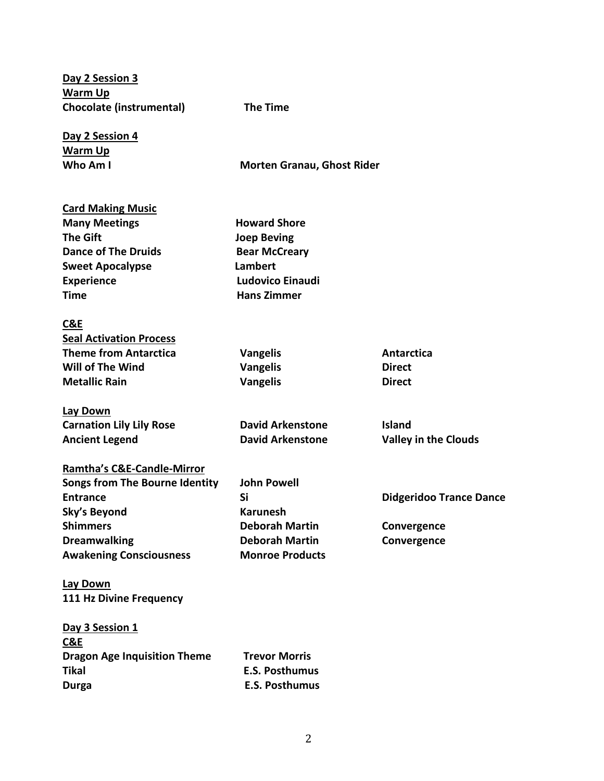**Day 2 Session 3 Warm Up Chocolate (instrumental) The Time**

**Day 2 Session 4 Warm Up**

**Who Am I Morten Granau, Ghost Rider** 

## **Card Making Music**

| <b>Many Meetings</b>       | <b>Howard Shore</b>     |
|----------------------------|-------------------------|
| The Gift                   | <b>Joep Beving</b>      |
| <b>Dance of The Druids</b> | <b>Bear McCreary</b>    |
| <b>Sweet Apocalypse</b>    | Lambert                 |
| <b>Experience</b>          | <b>Ludovico Einaudi</b> |
| Time                       | <b>Hans Zimmer</b>      |

#### **C&E**

| <b>Seal Activation Process</b> |                 |               |
|--------------------------------|-----------------|---------------|
| Theme from Antarctica          | <b>Vangelis</b> | Antarctica    |
| Will of The Wind               | <b>Vangelis</b> | <b>Direct</b> |
| Metallic Rain                  | <b>Vangelis</b> | <b>Direct</b> |

## **Lay Down Carnation Lily Lily Rose David Arkenstone Island Ancient Legend David Arkenstone Valley in the Clouds**

| <b>Ramtha's C&amp;E-Candle-Mirror</b> |                        |
|---------------------------------------|------------------------|
| <b>Songs from The Bourne Identity</b> | <b>John Powell</b>     |
| <b>Entrance</b>                       | Si                     |
| Sky's Beyond                          | <b>Karunesh</b>        |
| <b>Shimmers</b>                       | <b>Deborah Martin</b>  |
| <b>Dreamwalking</b>                   | <b>Deborah Martin</b>  |
| <b>Awakening Consciousness</b>        | <b>Monroe Products</b> |

**Shimmers Deborah Martin Convergence**

**Entrance Si Didgeridoo Trance Dance**

**Dreamwalking Deborah Martin Convergence**

**Lay Down 111 Hz Divine Frequency** 

| Day 3 Session 1                     |                       |
|-------------------------------------|-----------------------|
| C&E                                 |                       |
| <b>Dragon Age Inquisition Theme</b> | <b>Trevor Morris</b>  |
| Tikal                               | E.S. Posthumus        |
| Durga                               | <b>E.S. Posthumus</b> |